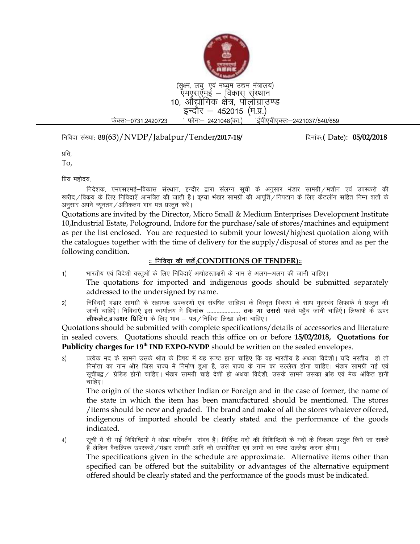

(सूक्ष्म, लघु एवं मध्यम उद्यम मंत्रालय) ऍमएसऍमई — विकास संस्थान 10, औद्योगिक क्षेत्र, पोलोग्राउण्ड इन्दौर — 452015 (म.प्र.) फेक्सः—0731.2420723 ' फोनः— 2421048(का.) 'ईपीएबीएक्सः—2421037/540/659

fufonk la[;k( 88(63)/NVDP/Jabalpur/Tender**/2017-18/** fnukad(**¼** Date): **05/02/2018**

प्रति.

To,

प्रिय महोदय.

निदेशक, एमएसएमई—विकास संस्थान, इन्दौर द्वारा संलग्न सूची के अनुसार भंडार सामग्री ⁄मशीन एवं उपस्करो की खरीद/विकय के लिए निविदाएँ आमत्रित की जाती है। कप्या भंडार सामग्री की आपर्ति/निपटान के लिए कैटलॉग सहित निम्न शर्तो के अनुसार अपने न्यूनतम/अधिकतम भाव पत्र प्रस्तुत करें।

Quotations are invited by the Director, Micro Small & Medium Enterprises Development Institute 10,Industrial Estate, Pologround, Indore for the purchase/sale of stores/machines and equipment as per the list enclosed. You are requested to submit your lowest/highest quotation along with the catalogues together with the time of delivery for the supply/disposal of stores and as per the following condition.

## **%% fufonk dh 'krsZ(CONDITIONS OF TENDER)%%**

- 1) भारतीय एवं विदेशी वस्तुओं के लिए निविदाएँ अद्योहस्ताक्षरी के नाम से अलग—अलग की जानी चाहिए। The quotations for imported and indigenous goods should be submitted separately addressed to the undersigned by name.
- 2) निविदाएँ भंडार सामग्री के सहायक उपकरणों एवं संबधित साहित्य के विस्तृत विवरण के साथ मुहरबंद लिफाफे में प्रस्तुत की जानी चाहिऐ। निविदाऐ इस कार्यालय में **दिनांक** ..................... **तक या उससे** पहले पहुॅच जानी चाहिऐं। लिफाफे के ऊपर **लीफलेट,ब्राउशर प्रिंटिंग** के लिए भाव – पत्र / निविदा लिखा होना चाहिए।

Quotations should be submitted with complete specifications/details of accessories and literature in sealed covers. Quotations should reach this office on or before **15/02/2018, Quotations for**  Publicity charges for 19<sup>th</sup> IND EXPO-NVDP should be written on the sealed envelopes.

3) प्रत्येक मद के सामने उसके श्रोत के विषय में यह स्पष्ट हाना चाहिए कि वह भारतीय है अथवा विदेशी। यदि भरतीय हो तो निर्माता का नाम और जिस राज्य में निर्माण हुआ है, उस राज्य के नाम का उल्लेख होना चाहिए। भंडार सामग्री नई एवं सूचीबद्व ⁄ ग्रेडिड होनी चाहिए। भंडार सामग्री चाहे देशी हो अथवा विदेशी, उसके सामने उसका ब्रांड एवं मेक अंकित हानी चाहिए। $\overline{\phantom{a}}$ 

The origin of the stores whether Indian or Foreign and in the case of former, the name of the state in which the item has been manufactured should be mentioned. The stores /items should be new and graded. The brand and make of all the stores whatever offered, indigenous of imported should be clearly stated and the performance of the goods indicated.

4) सुची में दी गई विशिष्टियों मे थोडा परिवर्तन संभव है। निर्दिष्ट मदों की विशिष्टियों के मदों के विकल्प प्रस्तुत किये जा सकते हैं लेकिन वैकल्पिक उपस्करों /भंडार सामग्री आदि की उपयोगिता एवं लाभो का स्पष्ट उल्लेख करना होगा। The specifications given in the schedule are approximate. Alternative items other than specified can be offered but the suitability or advantages of the alternative equipment offered should be clearly stated and the performance of the goods must be indicated.